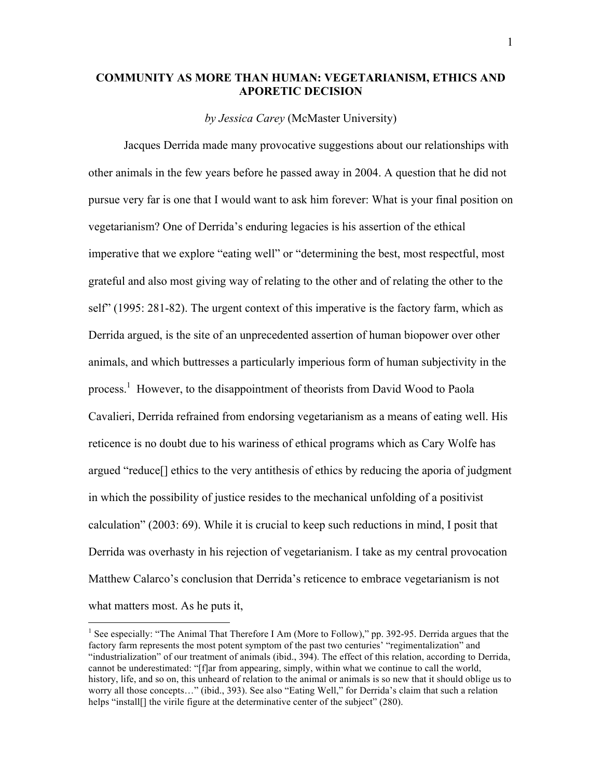## **COMMUNITY AS MORE THAN HUMAN: VEGETARIANISM, ETHICS AND APORETIC DECISION**

*by Jessica Carey* (McMaster University)

Jacques Derrida made many provocative suggestions about our relationships with other animals in the few years before he passed away in 2004. A question that he did not pursue very far is one that I would want to ask him forever: What is your final position on vegetarianism? One of Derrida's enduring legacies is his assertion of the ethical imperative that we explore "eating well" or "determining the best, most respectful, most grateful and also most giving way of relating to the other and of relating the other to the self" (1995: 281-82). The urgent context of this imperative is the factory farm, which as Derrida argued, is the site of an unprecedented assertion of human biopower over other animals, and which buttresses a particularly imperious form of human subjectivity in the process.<sup>1</sup> However, to the disappointment of theorists from David Wood to Paola Cavalieri, Derrida refrained from endorsing vegetarianism as a means of eating well. His reticence is no doubt due to his wariness of ethical programs which as Cary Wolfe has argued "reduce[] ethics to the very antithesis of ethics by reducing the aporia of judgment in which the possibility of justice resides to the mechanical unfolding of a positivist calculation" (2003: 69). While it is crucial to keep such reductions in mind, I posit that Derrida was overhasty in his rejection of vegetarianism. I take as my central provocation Matthew Calarco's conclusion that Derrida's reticence to embrace vegetarianism is not what matters most. As he puts it,

<sup>&</sup>lt;sup>1</sup> See especially: "The Animal That Therefore I Am (More to Follow)," pp. 392-95. Derrida argues that the factory farm represents the most potent symptom of the past two centuries' "regimentalization" and "industrialization" of our treatment of animals (ibid., 394). The effect of this relation, according to Derrida, cannot be underestimated: "[f]ar from appearing, simply, within what we continue to call the world, history, life, and so on, this unheard of relation to the animal or animals is so new that it should oblige us to worry all those concepts…" (ibid., 393). See also "Eating Well," for Derrida's claim that such a relation helps "install[] the virile figure at the determinative center of the subject" (280).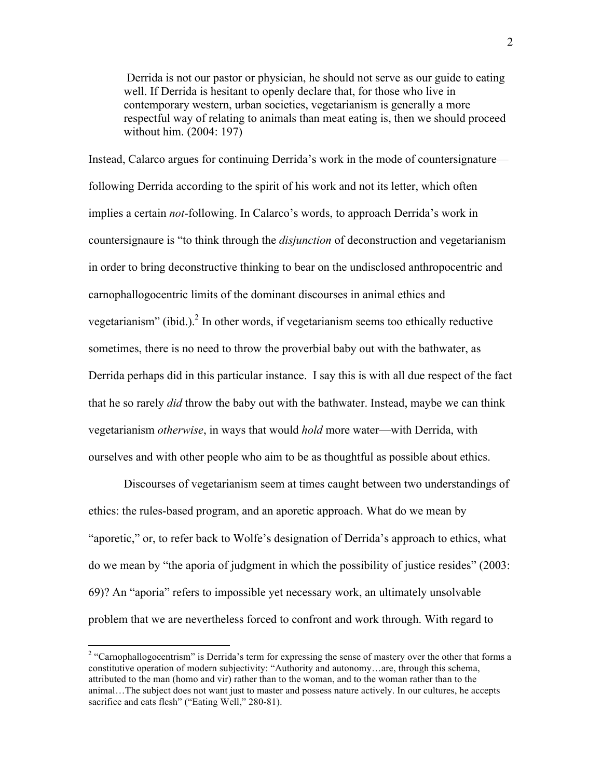Derrida is not our pastor or physician, he should not serve as our guide to eating well. If Derrida is hesitant to openly declare that, for those who live in contemporary western, urban societies, vegetarianism is generally a more respectful way of relating to animals than meat eating is, then we should proceed without him. (2004: 197)

Instead, Calarco argues for continuing Derrida's work in the mode of countersignature following Derrida according to the spirit of his work and not its letter, which often implies a certain *not*-following. In Calarco's words, to approach Derrida's work in countersignaure is "to think through the *disjunction* of deconstruction and vegetarianism in order to bring deconstructive thinking to bear on the undisclosed anthropocentric and carnophallogocentric limits of the dominant discourses in animal ethics and vegetarianism" (ibid.). $^2$  In other words, if vegetarianism seems too ethically reductive sometimes, there is no need to throw the proverbial baby out with the bathwater, as Derrida perhaps did in this particular instance. I say this is with all due respect of the fact that he so rarely *did* throw the baby out with the bathwater. Instead, maybe we can think vegetarianism *otherwise*, in ways that would *hold* more water—with Derrida, with ourselves and with other people who aim to be as thoughtful as possible about ethics.

Discourses of vegetarianism seem at times caught between two understandings of ethics: the rules-based program, and an aporetic approach. What do we mean by "aporetic," or, to refer back to Wolfe's designation of Derrida's approach to ethics, what do we mean by "the aporia of judgment in which the possibility of justice resides" (2003: 69)? An "aporia" refers to impossible yet necessary work, an ultimately unsolvable problem that we are nevertheless forced to confront and work through. With regard to

<sup>&</sup>lt;sup>2</sup> "Carnophallogocentrism" is Derrida's term for expressing the sense of mastery over the other that forms a constitutive operation of modern subjectivity: "Authority and autonomy…are, through this schema, attributed to the man (homo and vir) rather than to the woman, and to the woman rather than to the animal…The subject does not want just to master and possess nature actively. In our cultures, he accepts sacrifice and eats flesh" ("Eating Well," 280-81).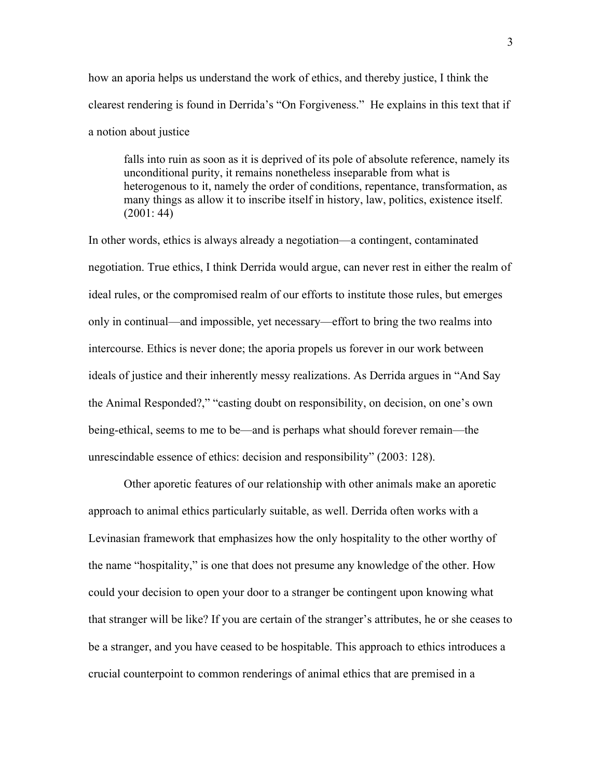how an aporia helps us understand the work of ethics, and thereby justice, I think the clearest rendering is found in Derrida's "On Forgiveness." He explains in this text that if a notion about justice

falls into ruin as soon as it is deprived of its pole of absolute reference, namely its unconditional purity, it remains nonetheless inseparable from what is heterogenous to it, namely the order of conditions, repentance, transformation, as many things as allow it to inscribe itself in history, law, politics, existence itself. (2001: 44)

In other words, ethics is always already a negotiation—a contingent, contaminated negotiation. True ethics, I think Derrida would argue, can never rest in either the realm of ideal rules, or the compromised realm of our efforts to institute those rules, but emerges only in continual—and impossible, yet necessary—effort to bring the two realms into intercourse. Ethics is never done; the aporia propels us forever in our work between ideals of justice and their inherently messy realizations. As Derrida argues in "And Say the Animal Responded?," "casting doubt on responsibility, on decision, on one's own being-ethical, seems to me to be—and is perhaps what should forever remain—the unrescindable essence of ethics: decision and responsibility" (2003: 128).

Other aporetic features of our relationship with other animals make an aporetic approach to animal ethics particularly suitable, as well. Derrida often works with a Levinasian framework that emphasizes how the only hospitality to the other worthy of the name "hospitality," is one that does not presume any knowledge of the other. How could your decision to open your door to a stranger be contingent upon knowing what that stranger will be like? If you are certain of the stranger's attributes, he or she ceases to be a stranger, and you have ceased to be hospitable. This approach to ethics introduces a crucial counterpoint to common renderings of animal ethics that are premised in a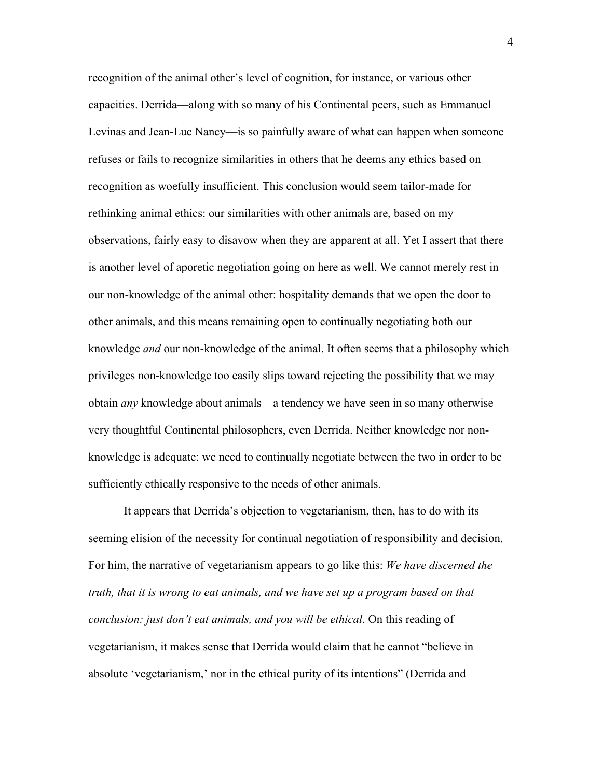recognition of the animal other's level of cognition, for instance, or various other capacities. Derrida—along with so many of his Continental peers, such as Emmanuel Levinas and Jean-Luc Nancy—is so painfully aware of what can happen when someone refuses or fails to recognize similarities in others that he deems any ethics based on recognition as woefully insufficient. This conclusion would seem tailor-made for rethinking animal ethics: our similarities with other animals are, based on my observations, fairly easy to disavow when they are apparent at all. Yet I assert that there is another level of aporetic negotiation going on here as well. We cannot merely rest in our non-knowledge of the animal other: hospitality demands that we open the door to other animals, and this means remaining open to continually negotiating both our knowledge *and* our non-knowledge of the animal. It often seems that a philosophy which privileges non-knowledge too easily slips toward rejecting the possibility that we may obtain *any* knowledge about animals—a tendency we have seen in so many otherwise very thoughtful Continental philosophers, even Derrida. Neither knowledge nor nonknowledge is adequate: we need to continually negotiate between the two in order to be sufficiently ethically responsive to the needs of other animals.

It appears that Derrida's objection to vegetarianism, then, has to do with its seeming elision of the necessity for continual negotiation of responsibility and decision. For him, the narrative of vegetarianism appears to go like this: *We have discerned the truth, that it is wrong to eat animals, and we have set up a program based on that conclusion: just don't eat animals, and you will be ethical*. On this reading of vegetarianism, it makes sense that Derrida would claim that he cannot "believe in absolute 'vegetarianism,' nor in the ethical purity of its intentions" (Derrida and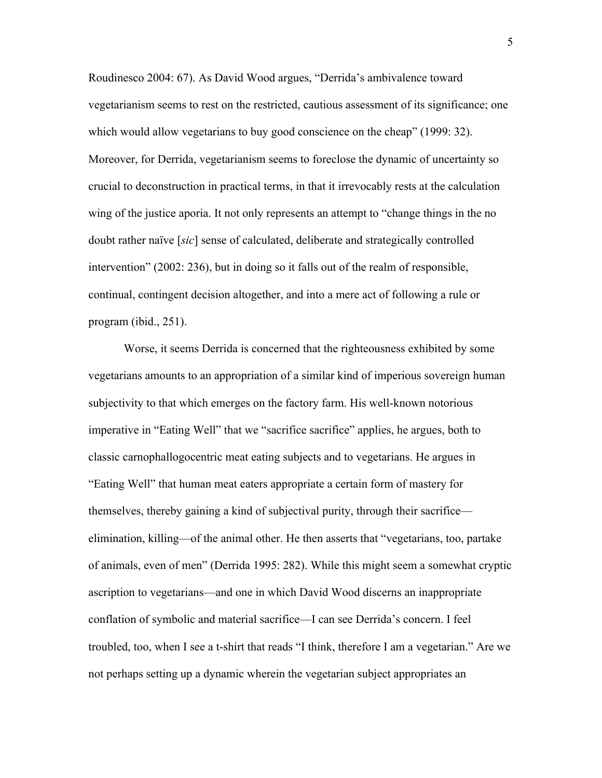Roudinesco 2004: 67). As David Wood argues, "Derrida's ambivalence toward vegetarianism seems to rest on the restricted, cautious assessment of its significance; one which would allow vegetarians to buy good conscience on the cheap" (1999: 32). Moreover, for Derrida, vegetarianism seems to foreclose the dynamic of uncertainty so crucial to deconstruction in practical terms, in that it irrevocably rests at the calculation wing of the justice aporia. It not only represents an attempt to "change things in the no doubt rather naïve [*sic*] sense of calculated, deliberate and strategically controlled intervention" (2002: 236), but in doing so it falls out of the realm of responsible, continual, contingent decision altogether, and into a mere act of following a rule or program (ibid., 251).

Worse, it seems Derrida is concerned that the righteousness exhibited by some vegetarians amounts to an appropriation of a similar kind of imperious sovereign human subjectivity to that which emerges on the factory farm. His well-known notorious imperative in "Eating Well" that we "sacrifice sacrifice" applies, he argues, both to classic carnophallogocentric meat eating subjects and to vegetarians. He argues in "Eating Well" that human meat eaters appropriate a certain form of mastery for themselves, thereby gaining a kind of subjectival purity, through their sacrifice elimination, killing—of the animal other. He then asserts that "vegetarians, too, partake of animals, even of men" (Derrida 1995: 282). While this might seem a somewhat cryptic ascription to vegetarians—and one in which David Wood discerns an inappropriate conflation of symbolic and material sacrifice—I can see Derrida's concern. I feel troubled, too, when I see a t-shirt that reads "I think, therefore I am a vegetarian." Are we not perhaps setting up a dynamic wherein the vegetarian subject appropriates an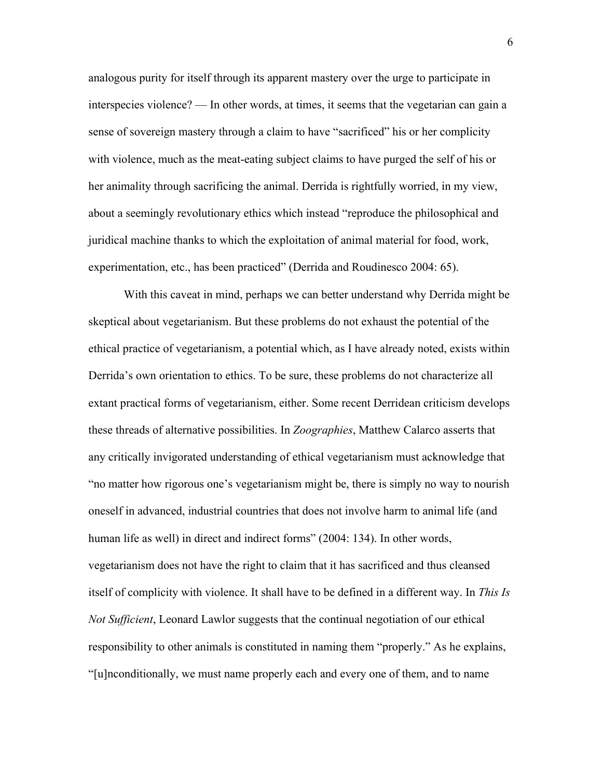analogous purity for itself through its apparent mastery over the urge to participate in interspecies violence? — In other words, at times, it seems that the vegetarian can gain a sense of sovereign mastery through a claim to have "sacrificed" his or her complicity with violence, much as the meat-eating subject claims to have purged the self of his or her animality through sacrificing the animal. Derrida is rightfully worried, in my view, about a seemingly revolutionary ethics which instead "reproduce the philosophical and juridical machine thanks to which the exploitation of animal material for food, work, experimentation, etc., has been practiced" (Derrida and Roudinesco 2004: 65).

With this caveat in mind, perhaps we can better understand why Derrida might be skeptical about vegetarianism. But these problems do not exhaust the potential of the ethical practice of vegetarianism, a potential which, as I have already noted, exists within Derrida's own orientation to ethics. To be sure, these problems do not characterize all extant practical forms of vegetarianism, either. Some recent Derridean criticism develops these threads of alternative possibilities. In *Zoographies*, Matthew Calarco asserts that any critically invigorated understanding of ethical vegetarianism must acknowledge that "no matter how rigorous one's vegetarianism might be, there is simply no way to nourish oneself in advanced, industrial countries that does not involve harm to animal life (and human life as well) in direct and indirect forms" (2004: 134). In other words, vegetarianism does not have the right to claim that it has sacrificed and thus cleansed itself of complicity with violence. It shall have to be defined in a different way. In *This Is Not Sufficient*, Leonard Lawlor suggests that the continual negotiation of our ethical responsibility to other animals is constituted in naming them "properly." As he explains, "[u]nconditionally, we must name properly each and every one of them, and to name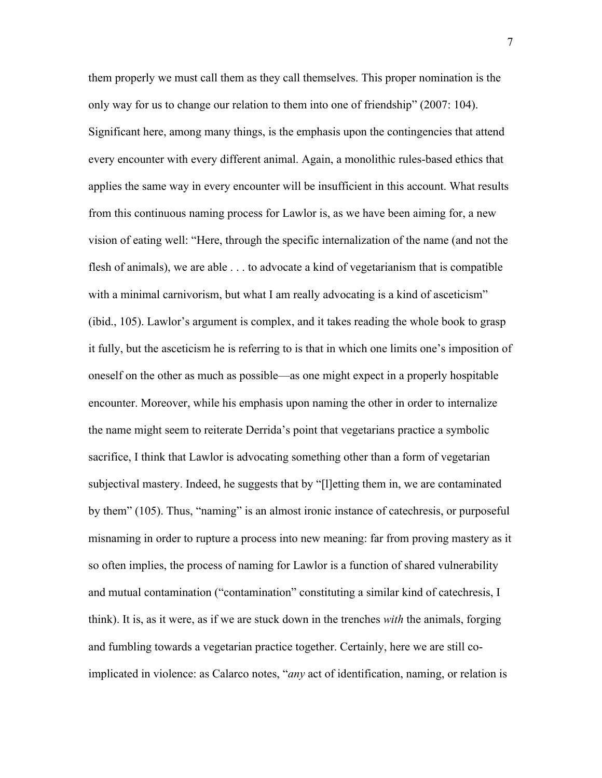them properly we must call them as they call themselves. This proper nomination is the only way for us to change our relation to them into one of friendship" (2007: 104). Significant here, among many things, is the emphasis upon the contingencies that attend every encounter with every different animal. Again, a monolithic rules-based ethics that applies the same way in every encounter will be insufficient in this account. What results from this continuous naming process for Lawlor is, as we have been aiming for, a new vision of eating well: "Here, through the specific internalization of the name (and not the flesh of animals), we are able . . . to advocate a kind of vegetarianism that is compatible with a minimal carnivorism, but what I am really advocating is a kind of asceticism" (ibid., 105). Lawlor's argument is complex, and it takes reading the whole book to grasp it fully, but the asceticism he is referring to is that in which one limits one's imposition of oneself on the other as much as possible—as one might expect in a properly hospitable encounter. Moreover, while his emphasis upon naming the other in order to internalize the name might seem to reiterate Derrida's point that vegetarians practice a symbolic sacrifice, I think that Lawlor is advocating something other than a form of vegetarian subjectival mastery. Indeed, he suggests that by "[l]etting them in, we are contaminated by them" (105). Thus, "naming" is an almost ironic instance of catechresis, or purposeful misnaming in order to rupture a process into new meaning: far from proving mastery as it so often implies, the process of naming for Lawlor is a function of shared vulnerability and mutual contamination ("contamination" constituting a similar kind of catechresis, I think). It is, as it were, as if we are stuck down in the trenches *with* the animals, forging and fumbling towards a vegetarian practice together. Certainly, here we are still coimplicated in violence: as Calarco notes, "*any* act of identification, naming, or relation is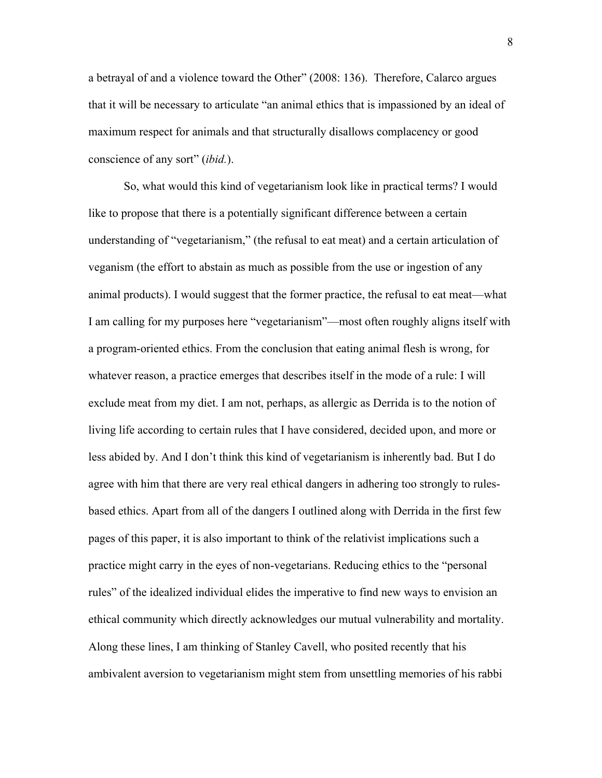a betrayal of and a violence toward the Other" (2008: 136). Therefore, Calarco argues that it will be necessary to articulate "an animal ethics that is impassioned by an ideal of maximum respect for animals and that structurally disallows complacency or good conscience of any sort" (*ibid.*).

So, what would this kind of vegetarianism look like in practical terms? I would like to propose that there is a potentially significant difference between a certain understanding of "vegetarianism," (the refusal to eat meat) and a certain articulation of veganism (the effort to abstain as much as possible from the use or ingestion of any animal products). I would suggest that the former practice, the refusal to eat meat—what I am calling for my purposes here "vegetarianism"—most often roughly aligns itself with a program-oriented ethics. From the conclusion that eating animal flesh is wrong, for whatever reason, a practice emerges that describes itself in the mode of a rule: I will exclude meat from my diet. I am not, perhaps, as allergic as Derrida is to the notion of living life according to certain rules that I have considered, decided upon, and more or less abided by. And I don't think this kind of vegetarianism is inherently bad. But I do agree with him that there are very real ethical dangers in adhering too strongly to rulesbased ethics. Apart from all of the dangers I outlined along with Derrida in the first few pages of this paper, it is also important to think of the relativist implications such a practice might carry in the eyes of non-vegetarians. Reducing ethics to the "personal rules" of the idealized individual elides the imperative to find new ways to envision an ethical community which directly acknowledges our mutual vulnerability and mortality. Along these lines, I am thinking of Stanley Cavell, who posited recently that his ambivalent aversion to vegetarianism might stem from unsettling memories of his rabbi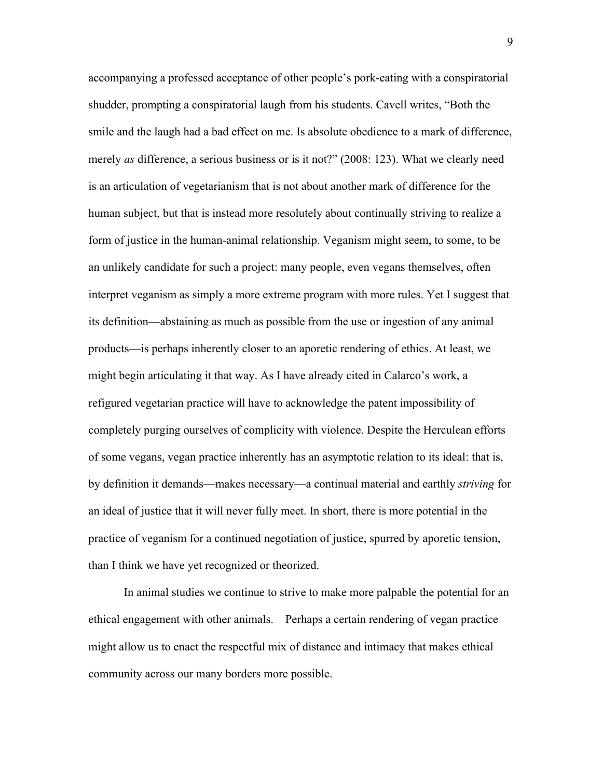accompanying a professed acceptance of other people's pork-eating with a conspiratorial shudder, prompting a conspiratorial laugh from his students. Cavell writes, "Both the smile and the laugh had a bad effect on me. Is absolute obedience to a mark of difference, merely *as* difference, a serious business or is it not?" (2008: 123). What we clearly need is an articulation of vegetarianism that is not about another mark of difference for the human subject, but that is instead more resolutely about continually striving to realize a form of justice in the human-animal relationship. Veganism might seem, to some, to be an unlikely candidate for such a project: many people, even vegans themselves, often interpret veganism as simply a more extreme program with more rules. Yet I suggest that its definition—abstaining as much as possible from the use or ingestion of any animal products—is perhaps inherently closer to an aporetic rendering of ethics. At least, we might begin articulating it that way. As I have already cited in Calarco's work, a refigured vegetarian practice will have to acknowledge the patent impossibility of completely purging ourselves of complicity with violence. Despite the Herculean efforts of some vegans, vegan practice inherently has an asymptotic relation to its ideal: that is, by definition it demands—makes necessary—a continual material and earthly *striving* for an ideal of justice that it will never fully meet. In short, there is more potential in the practice of veganism for a continued negotiation of justice, spurred by aporetic tension, than I think we have yet recognized or theorized.

In animal studies we continue to strive to make more palpable the potential for an ethical engagement with other animals. Perhaps a certain rendering of vegan practice might allow us to enact the respectful mix of distance and intimacy that makes ethical community across our many borders more possible.